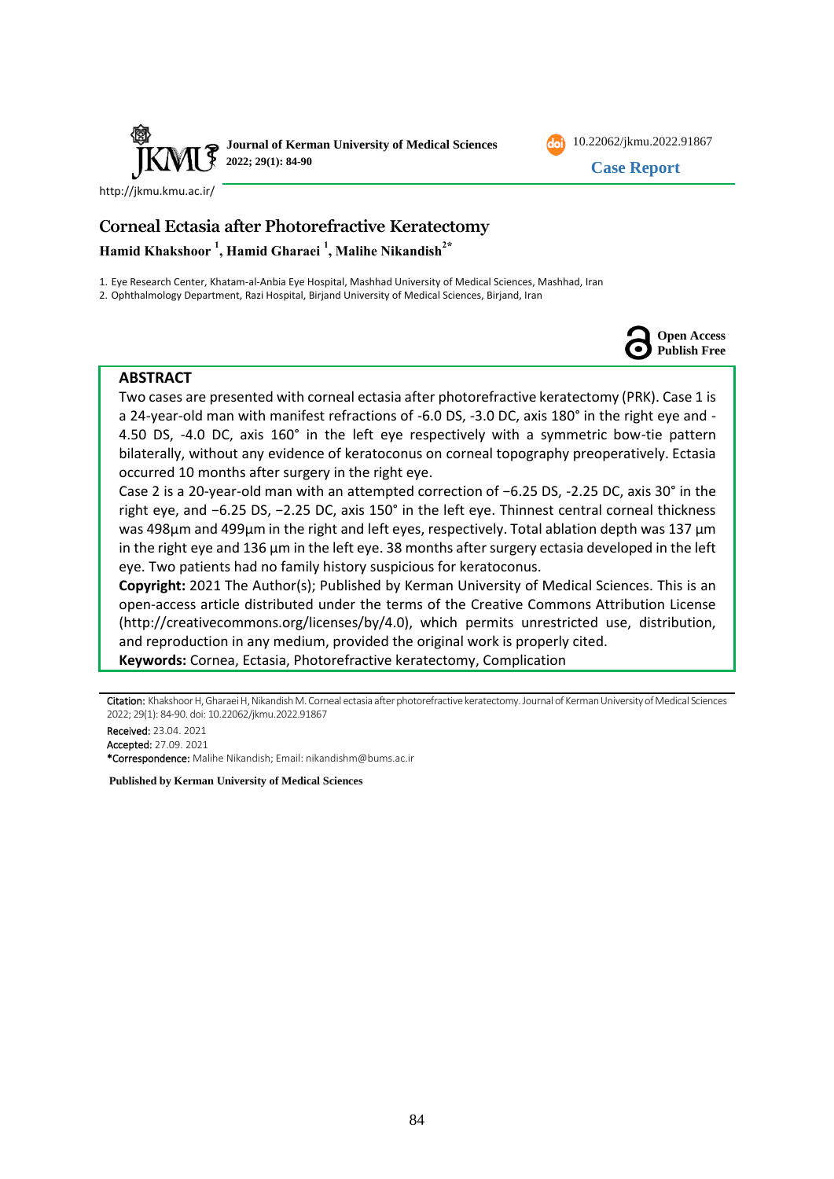



# **Corneal Ectasia after Photorefractive Keratectomy Hamid Khakshoor <sup>1</sup> , Hamid Gharaei <sup>1</sup> , Malihe Nikandish<sup>2</sup>⁎**

1. Eye Research Center, Khatam-al-Anbia Eye Hospital, Mashhad University of Medical Sciences, Mashhad, Iran

2. Ophthalmology Department, Razi Hospital, Birjand University of Medical Sciences, Birjand, Iran



10.22062/jkmu.2022.91867 **Case Report** 

### **ABSTRACT**

Two cases are presented with corneal ectasia after photorefractive keratectomy (PRK). Case 1 is a 24-year-old man with manifest refractions of -6.0 DS, -3.0 DC, axis 180° in the right eye and - 4.50 DS, -4.0 DC, axis 160° in the left eye respectively with a symmetric bow-tie pattern bilaterally, without any evidence of keratoconus on corneal topography preoperatively. Ectasia occurred 10 months after surgery in the right eye.

Case 2 is a 20-year-old man with an attempted correction of −6.25 DS, -2.25 DC, axis 30° in the right eye, and −6.25 DS, −2.25 DC, axis 150° in the left eye. Thinnest central corneal thickness was 498µm and 499µm in the right and left eyes, respectively. Total ablation depth was 137 µm in the right eye and 136 µm in the left eye. 38 months after surgery ectasia developed in the left eye. Two patients had no family history suspicious for keratoconus.

**Copyright:** 2021 The Author(s); Published by Kerman University of Medical Sciences. This is an open-access article distributed under the terms of the Creative Commons Attribution License (http://creativecommons.org/licenses/by/4.0), which permits unrestricted use, distribution, and reproduction in any medium, provided the original work is properly cited. **Keywords:** Cornea, Ectasia, Photorefractive keratectomy, Complication

Citation: Khakshoor H, Gharaei H, Nikandish M. Corneal ectasia after photorefractive keratectomy. Journal of Kerman University of Medical Sciences 2022; 29(1): 84-90. doi: 10.22062/jkmu.2022.91867

Received: 23.04. 2021 Accepted: 27.09. 2021 \*Correspondence: Malihe Nikandish; Email: [nikandishm@bums.ac.ir](mailto:nikandishm@bums.ac.ir)

**Published by Kerman University of Medical Sciences**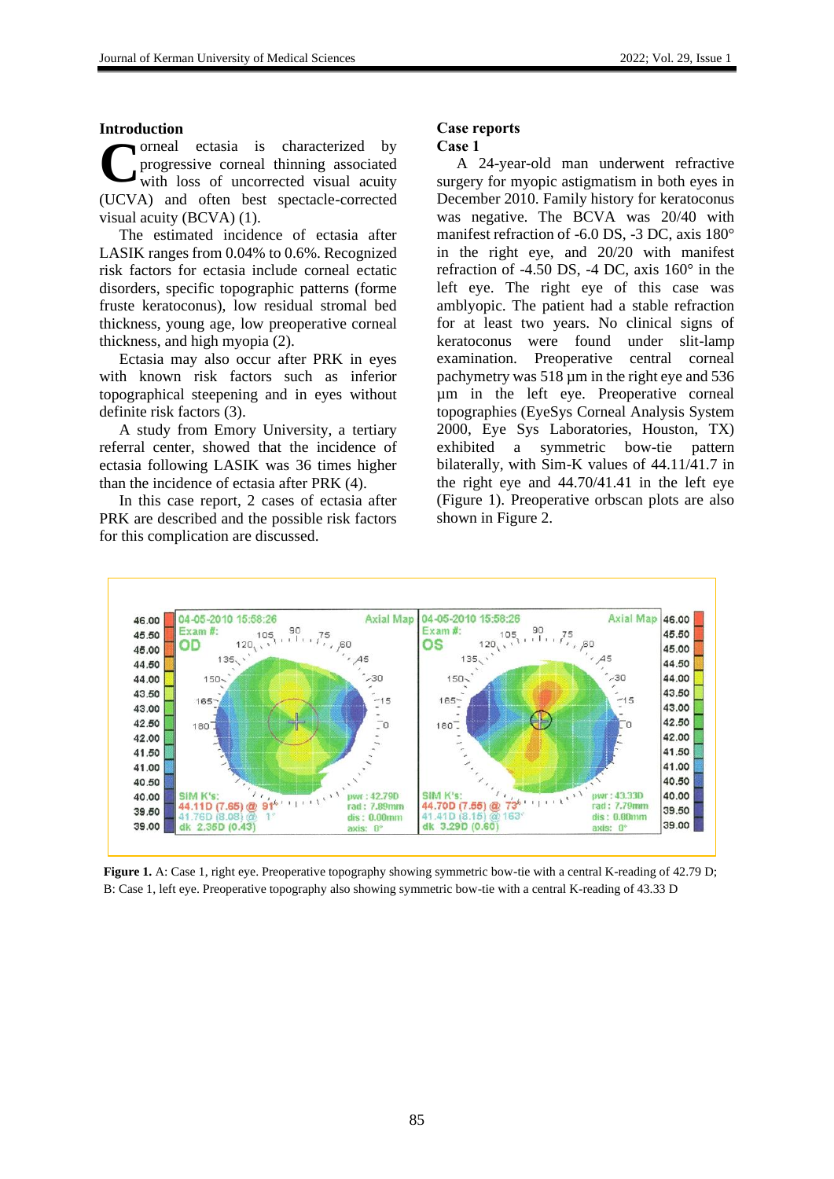#### **Introduction**

orneal ectasia is characterized by progressive corneal thinning associated with loss of uncorrected visual acuity (UCVA) and often best spectacle-corrected visual acuity (BCVA) (1). **C**

The estimated incidence of ectasia after LASIK ranges from 0.04% to 0.6%. Recognized risk factors for ectasia include corneal ectatic disorders, specific topographic patterns (forme fruste keratoconus), low residual stromal bed thickness, young age, low preoperative corneal thickness, and high myopia (2).

Ectasia may also occur after PRK in eyes with known risk factors such as inferior topographical steepening and in eyes without definite risk factors (3).

A study from Emory University, a tertiary referral center, showed that the incidence of ectasia following LASIK was 36 times higher than the incidence of ectasia after PRK (4).

In this case report, 2 cases of ectasia after PRK are described and the possible risk factors for this complication are discussed.

#### **Case reports**

#### **Case 1**

A 24-year-old man underwent refractive surgery for myopic astigmatism in both eyes in December 2010. Family history for keratoconus was negative. The BCVA was 20/40 with manifest refraction of -6.0 DS, -3 DC, axis 180° in the right eye, and 20/20 with manifest refraction of -4.50 DS, -4 DC, axis 160° in the left eye. The right eye of this case was amblyopic. The patient had a stable refraction for at least two years. No clinical signs of keratoconus were found under slit-lamp examination. Preoperative central corneal pachymetry was 518 µm in the right eye and 536 µm in the left eye. Preoperative corneal topographies (EyeSys Corneal Analysis System 2000, Eye Sys Laboratories, Houston, TX) exhibited a symmetric bow-tie pattern bilaterally, with Sim-K values of 44.11/41.7 in the right eye and 44.70/41.41 in the left eye (Figure 1). Preoperative orbscan plots are also shown in Figure 2.



**Figure 1.** A: Case 1, right eye. Preoperative topography showing symmetric bow-tie with a central K-reading of 42.79 D; B: Case 1, left eye. Preoperative topography also showing symmetric bow-tie with a central K-reading of 43.33 D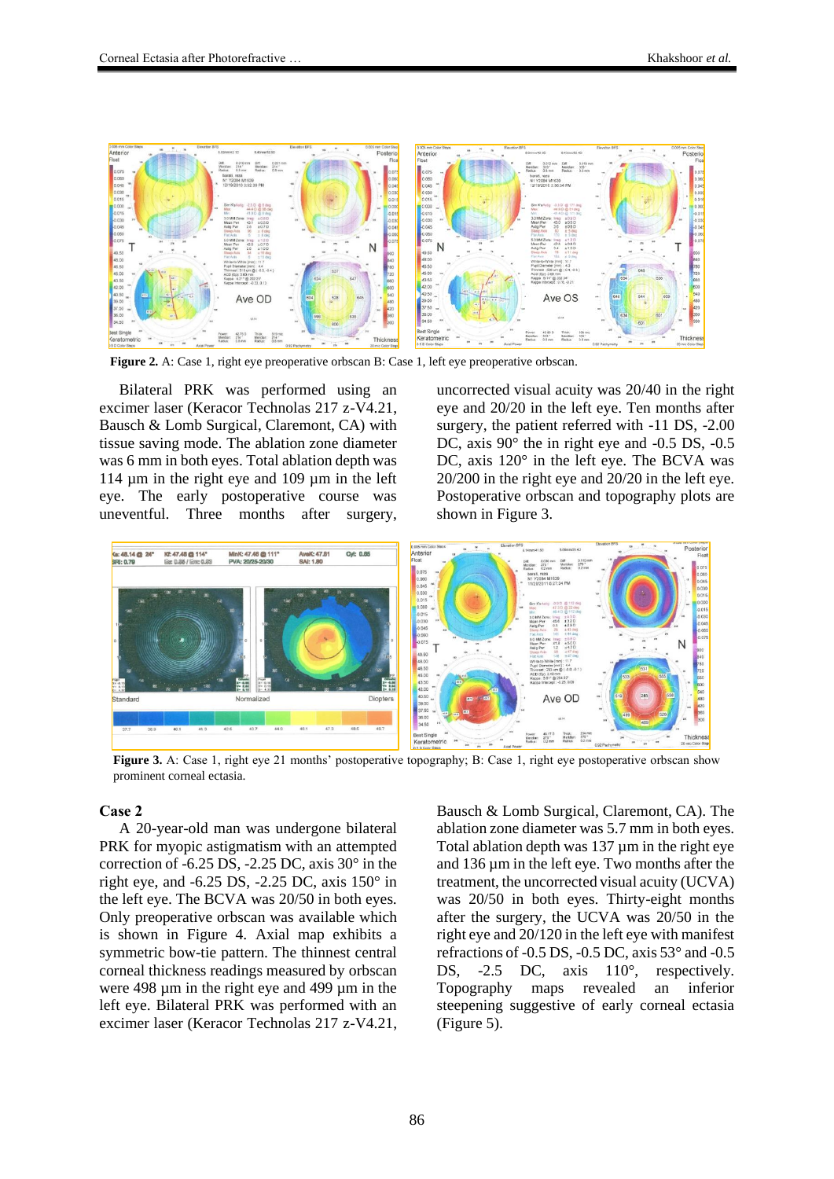

**Figure 2.** A: Case 1, right eye preoperative orbscan B: Case 1, left eye preoperative orbscan.

Bilateral PRK was performed using an excimer laser (Keracor Technolas 217 z-V4.21, Bausch & Lomb Surgical, Claremont, CA) with tissue saving mode. The ablation zone diameter was 6 mm in both eyes. Total ablation depth was 114 µm in the right eye and 109 µm in the left eye. The early postoperative course was uneventful. Three months after surgery,

uncorrected visual acuity was 20/40 in the right eye and 20/20 in the left eye. Ten months after surgery, the patient referred with -11 DS, -2.00 DC, axis  $90^{\circ}$  the in right eye and -0.5 DS, -0.5 DC, axis 120° in the left eye. The BCVA was 20/200 in the right eye and 20/20 in the left eye. Postoperative orbscan and topography plots are shown in Figure 3.



**Figure 3.** A: Case 1, right eye 21 months' postoperative topography; B: Case 1, right eye postoperative orbscan show prominent corneal ectasia.

#### **Case 2**

A 20-year-old man was undergone bilateral PRK for myopic astigmatism with an attempted correction of -6.25 DS, -2.25 DC, axis 30° in the right eye, and  $-6.25$  DS,  $-2.25$  DC, axis  $150^\circ$  in the left eye. The BCVA was 20/50 in both eyes. Only preoperative orbscan was available which is shown in Figure 4. Axial map exhibits a symmetric bow-tie pattern. The thinnest central corneal thickness readings measured by orbscan were 498 µm in the right eye and 499 µm in the left eye. Bilateral PRK was performed with an excimer laser (Keracor Technolas 217 z-V4.21,

Bausch & Lomb Surgical, Claremont, CA). The ablation zone diameter was 5.7 mm in both eyes. Total ablation depth was 137  $\mu$ m in the right eye and 136 µm in the left eye. Two months after the treatment, the uncorrected visual acuity (UCVA) was 20/50 in both eyes. Thirty-eight months after the surgery, the UCVA was 20/50 in the right eye and 20/120 in the left eye with manifest refractions of  $-0.5$  DS,  $-0.5$  DC, axis  $53^\circ$  and  $-0.5$ DS, -2.5 DC, axis 110<sup>°</sup>, respectively. Topography maps revealed an inferior steepening suggestive of early corneal ectasia (Figure 5).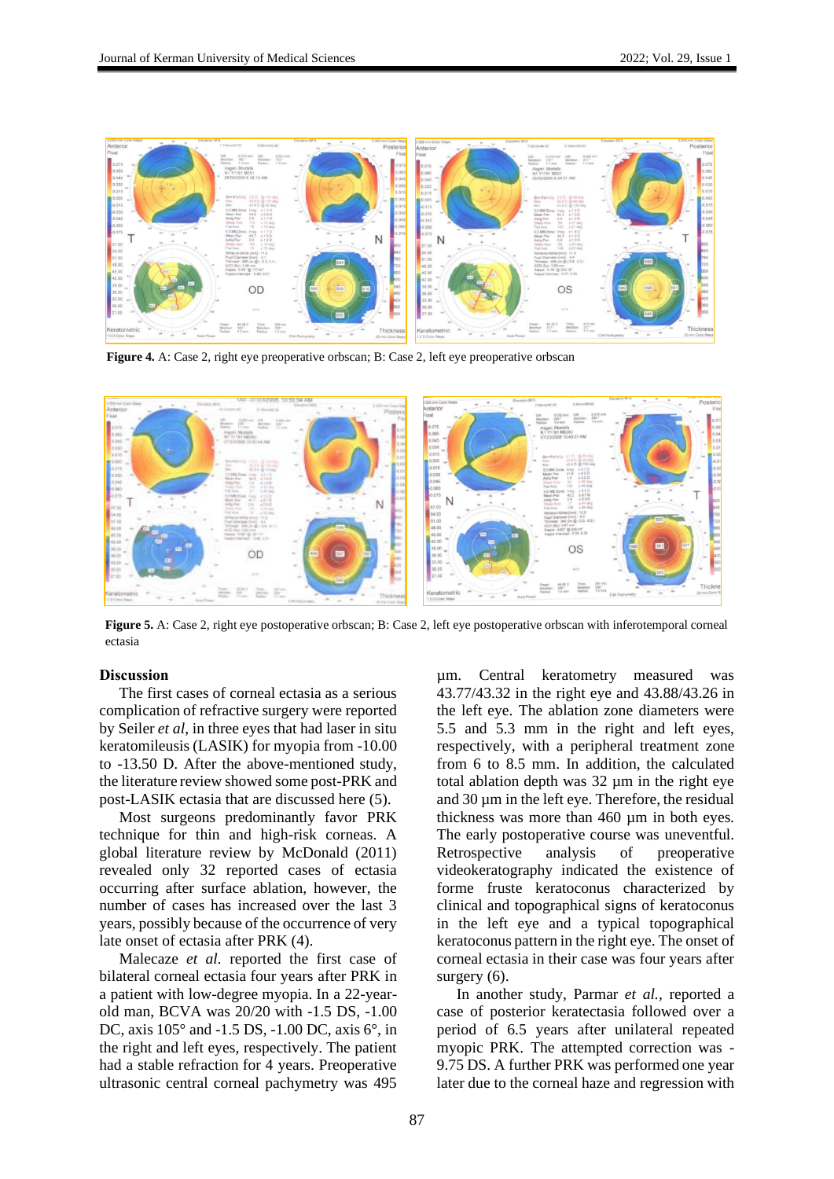

**Figure 4.** A: Case 2, right eye preoperative orbscan; B: Case 2, left eye preoperative orbscan



Figure 5. A: Case 2, right eye postoperative orbscan; B: Case 2, left eye postoperative orbscan with inferotemporal corneal ectasia

#### **Discussion**

The first cases of corneal ectasia as a serious complication of refractive surgery were reported by Seiler *et al*, in three eyes that had laser in situ keratomileusis (LASIK) for myopia from -10.00 to -13.50 D. After the above-mentioned study, the literature review showed some post-PRK and post-LASIK ectasia that are discussed here (5).

Most surgeons predominantly favor PRK technique for thin and high-risk corneas. A global literature review by McDonald (2011) revealed only 32 reported cases of ectasia occurring after surface ablation, however, the number of cases has increased over the last 3 years, possibly because of the occurrence of very late onset of ectasia after PRK (4).

Malecaze *et al.* reported the first case of bilateral corneal ectasia four years after PRK in a patient with low-degree myopia. In a 22-yearold man, BCVA was 20/20 with -1.5 DS, -1.00 DC, axis 105° and -1.5 DS, -1.00 DC, axis 6°, in the right and left eyes, respectively. The patient had a stable refraction for 4 years. Preoperative ultrasonic central corneal pachymetry was 495

µm. Central keratometry measured was 43.77/43.32 in the right eye and 43.88/43.26 in the left eye. The ablation zone diameters were 5.5 and 5.3 mm in the right and left eyes, respectively, with a peripheral treatment zone from 6 to 8.5 mm. In addition, the calculated total ablation depth was 32 µm in the right eye and  $30 \mu m$  in the left eye. Therefore, the residual thickness was more than 460 µm in both eyes. The early postoperative course was uneventful. Retrospective analysis of preoperative videokeratography indicated the existence of forme fruste keratoconus characterized by clinical and topographical signs of keratoconus in the left eye and a typical topographical keratoconus pattern in the right eye. The onset of corneal ectasia in their case was four years after surgery  $(6)$ .

In another study, Parmar *et al.,* reported a case of posterior keratectasia followed over a period of 6.5 years after unilateral repeated myopic PRK. The attempted correction was - 9.75 DS. A further PRK was performed one year later due to the corneal haze and regression with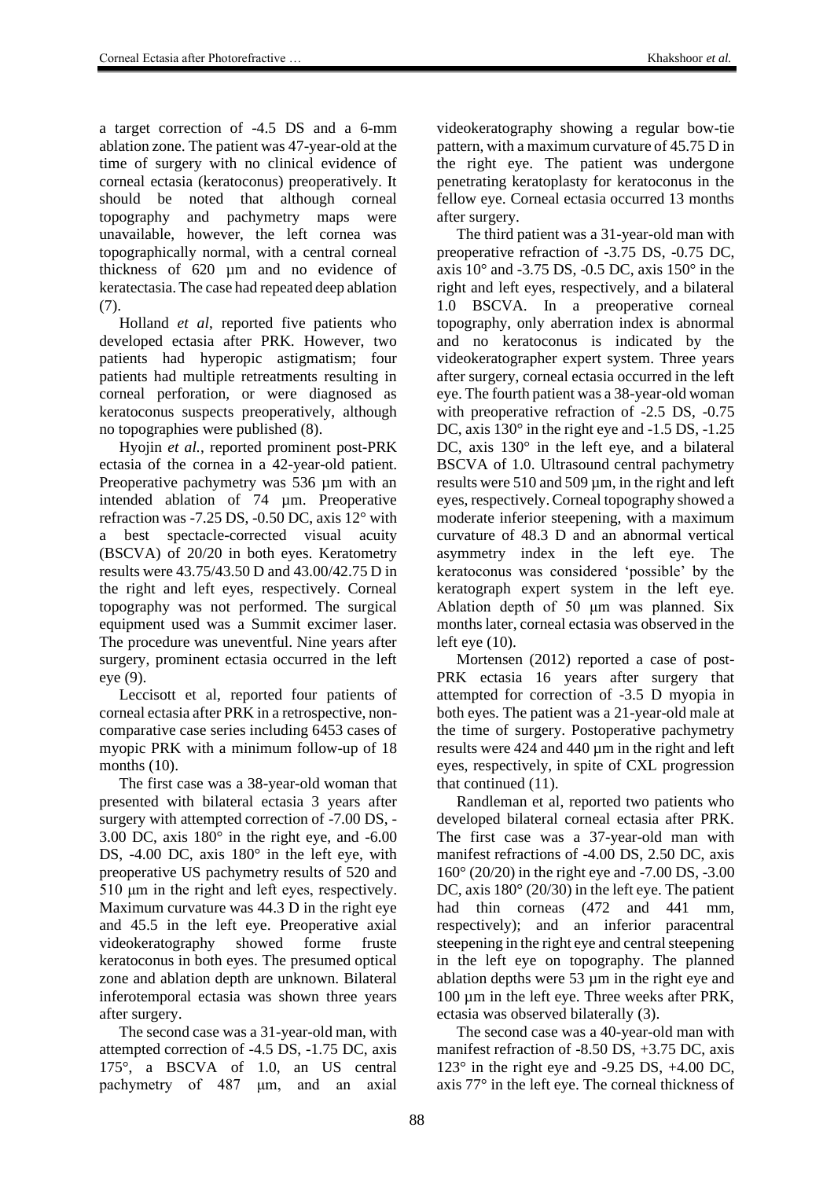a target correction of -4.5 DS and a 6-mm ablation zone. The patient was 47-year-old at the time of surgery with no clinical evidence of corneal ectasia (keratoconus) preoperatively. It should be noted that although corneal topography and pachymetry maps were unavailable, however, the left cornea was topographically normal, with a central corneal thickness of 620 µm and no evidence of keratectasia. The case had repeated deep ablation (7).

Holland *et al*, reported five patients who developed ectasia after PRK. However, two patients had hyperopic astigmatism; four patients had multiple retreatments resulting in corneal perforation, or were diagnosed as keratoconus suspects preoperatively, although no topographies were published (8).

Hyojin *et al.*, reported prominent post-PRK ectasia of the cornea in a 42-year-old patient. Preoperative pachymetry was 536  $\mu$ m with an intended ablation of 74 µm. Preoperative refraction was -7.25 DS, -0.50 DC, axis 12° with a best spectacle-corrected visual acuity (BSCVA) of 20/20 in both eyes. Keratometry results were 43.75/43.50 D and 43.00/42.75 D in the right and left eyes, respectively. Corneal topography was not performed. The surgical equipment used was a Summit excimer laser. The procedure was uneventful. Nine years after surgery, prominent ectasia occurred in the left eye (9).

Leccisott et al, reported four patients of corneal ectasia after PRK in a retrospective, noncomparative case series including 6453 cases of myopic PRK with a minimum follow-up of 18 months (10).

The first case was a 38-year-old woman that presented with bilateral ectasia 3 years after surgery with attempted correction of -7.00 DS, - 3.00 DC, axis 180° in the right eye, and -6.00 DS, -4.00 DC, axis 180° in the left eye, with preoperative US pachymetry results of 520 and 510 μm in the right and left eyes, respectively. Maximum curvature was 44.3 D in the right eye and 45.5 in the left eye. Preoperative axial videokeratography showed forme fruste keratoconus in both eyes. The presumed optical zone and ablation depth are unknown. Bilateral inferotemporal ectasia was shown three years after surgery.

The second case was a 31-year-old man, with attempted correction of -4.5 DS, -1.75 DC, axis 175°, a BSCVA of 1.0, an US central pachymetry of 487 μm, and an axial videokeratography showing a regular bow-tie pattern, with a maximum curvature of 45.75 D in the right eye. The patient was undergone penetrating keratoplasty for keratoconus in the fellow eye. Corneal ectasia occurred 13 months after surgery.

The third patient was a 31-year-old man with preoperative refraction of -3.75 DS, -0.75 DC, axis  $10^{\circ}$  and -3.75 DS, -0.5 DC, axis  $150^{\circ}$  in the right and left eyes, respectively, and a bilateral 1.0 BSCVA. In a preoperative corneal topography, only aberration index is abnormal and no keratoconus is indicated by the videokeratographer expert system. Three years after surgery, corneal ectasia occurred in the left eye. The fourth patient was a 38-year-old woman with preoperative refraction of  $-2.5$  DS,  $-0.75$ DC, axis  $130^\circ$  in the right eye and -1.5 DS, -1.25 DC, axis 130° in the left eye, and a bilateral BSCVA of 1.0. Ultrasound central pachymetry results were  $510$  and  $509 \mu m$ , in the right and left eyes, respectively. Corneal topography showed a moderate inferior steepening, with a maximum curvature of 48.3 D and an abnormal vertical asymmetry index in the left eye. The keratoconus was considered 'possible' by the keratograph expert system in the left eye. Ablation depth of 50 μm was planned. Six months later, corneal ectasia was observed in the left eye (10).

Mortensen (2012) reported a case of post-PRK ectasia 16 years after surgery that attempted for correction of -3.5 D myopia in both eyes. The patient was a 21-year-old male at the time of surgery. Postoperative pachymetry results were 424 and 440 µm in the right and left eyes, respectively, in spite of CXL progression that continued (11).

Randleman et al, reported two patients who developed bilateral corneal ectasia after PRK. The first case was a 37-year-old man with manifest refractions of -4.00 DS, 2.50 DC, axis 160° (20/20) in the right eye and -7.00 DS, -3.00 DC, axis 180 $^{\circ}$  (20/30) in the left eye. The patient had thin corneas  $(472 \text{ and } 441 \text{ mm})$ , respectively); and an inferior paracentral steepening in the right eye and central steepening in the left eye on topography. The planned ablation depths were 53 µm in the right eye and 100 µm in the left eye. Three weeks after PRK, ectasia was observed bilaterally (3).

The second case was a 40-year-old man with manifest refraction of -8.50 DS, +3.75 DC, axis 123° in the right eye and -9.25 DS, +4.00 DC, axis 77° in the left eye. The corneal thickness of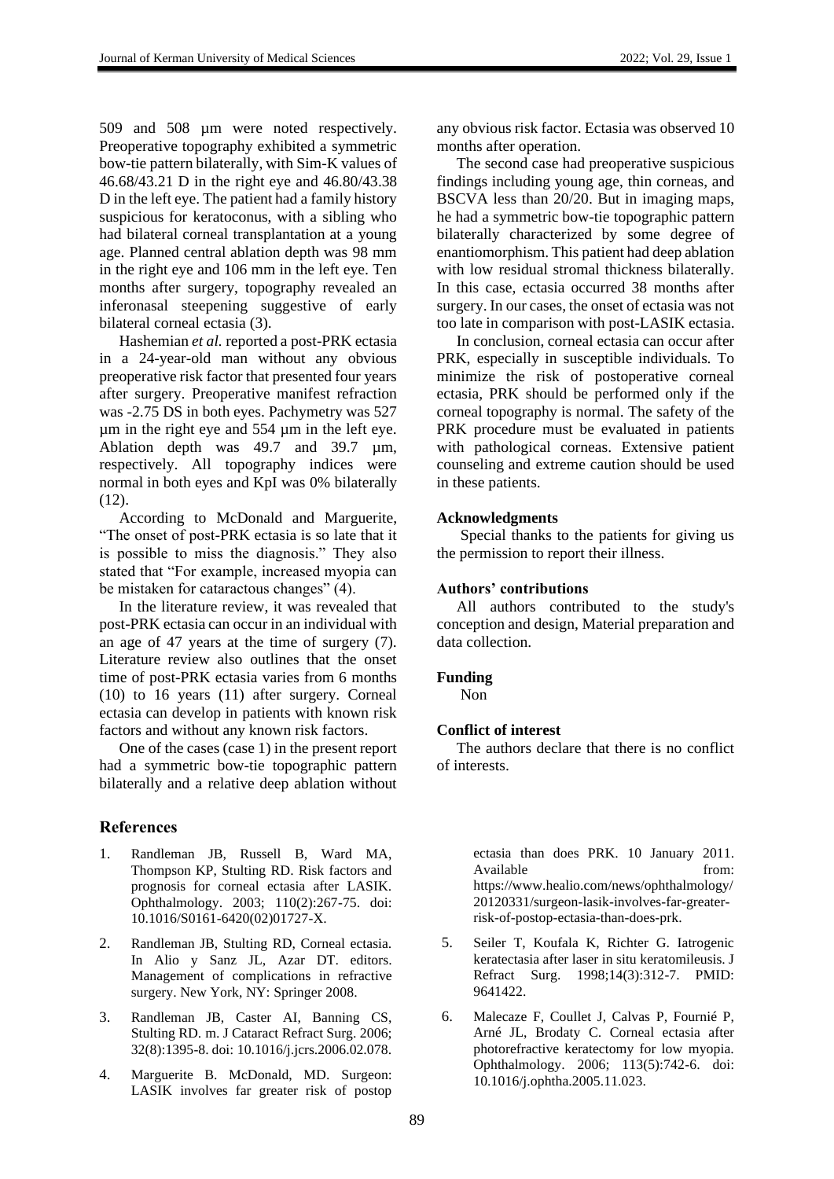509 and 508 µm were noted respectively. Preoperative topography exhibited a symmetric bow-tie pattern bilaterally, with Sim-K values of 46.68/43.21 D in the right eye and 46.80/43.38 D in the left eye. The patient had a family history suspicious for keratoconus, with a sibling who had bilateral corneal transplantation at a young age. Planned central ablation depth was 98 mm in the right eye and 106 mm in the left eye. Ten months after surgery, topography revealed an inferonasal steepening suggestive of early bilateral corneal ectasia (3).

Hashemian *et al.* reported a post-PRK ectasia in a 24-year-old man without any obvious preoperative risk factor that presented four years after surgery. Preoperative manifest refraction was -2.75 DS in both eyes. Pachymetry was 527 µm in the right eye and 554 µm in the left eye. Ablation depth was 49.7 and 39.7  $\mu$ m, respectively. All topography indices were normal in both eyes and KpI was 0% bilaterally  $(12)$ .

According to McDonald and Marguerite, "The onset of post-PRK ectasia is so late that it is possible to miss the diagnosis." They also stated that "For example, increased myopia can be mistaken for cataractous changes" (4).

In the literature review, it was revealed that post-PRK ectasia can occur in an individual with an age of 47 years at the time of surgery (7). Literature review also outlines that the onset time of post-PRK ectasia varies from 6 months (10) to 16 years (11) after surgery. Corneal ectasia can develop in patients with known risk factors and without any known risk factors.

One of the cases (case 1) in the present report had a symmetric bow-tie topographic pattern bilaterally and a relative deep ablation without

# **References**

- 1. Randleman JB, Russell B, Ward MA, Thompson KP, Stulting RD. Risk factors and prognosis for corneal ectasia after LASIK. Ophthalmology. 2003; 110(2):267-75. doi: 10.1016/S0161-6420(02)01727-X.
- 2. Randleman JB, Stulting RD, Corneal ectasia. In Alio y Sanz JL, Azar DT. editors. Management of complications in refractive surgery. New York, NY: Springer 2008.
- 3. Randleman JB, Caster AI, Banning CS, Stulting RD. m. J Cataract Refract Surg. 2006; 32(8):1395-8. doi: 10.1016/j.jcrs.2006.02.078.
- 4. Marguerite B. McDonald, MD. Surgeon: LASIK involves far greater risk of postop

any obvious risk factor. Ectasia was observed 10 months after operation.

The second case had preoperative suspicious findings including young age, thin corneas, and BSCVA less than 20/20. But in imaging maps, he had a symmetric bow-tie topographic pattern bilaterally characterized by some degree of enantiomorphism. This patient had deep ablation with low residual stromal thickness bilaterally. In this case, ectasia occurred 38 months after surgery. In our cases, the onset of ectasia was not too late in comparison with post-LASIK ectasia.

In conclusion, corneal ectasia can occur after PRK, especially in susceptible individuals. To minimize the risk of postoperative corneal ectasia, PRK should be performed only if the corneal topography is normal. The safety of the PRK procedure must be evaluated in patients with pathological corneas. Extensive patient counseling and extreme caution should be used in these patients.

# **Acknowledgments**

Special thanks to the patients for giving us the permission to report their illness.

## **Authors' contributions**

All authors contributed to the study's conception and design, Material preparation and data collection.

# **Funding**

Non

# **Conflict of interest**

The authors declare that there is no conflict of interests.

> ectasia than does PRK. 10 January 2011. Available from: https://www.healio.com/news/ophthalmology/ 20120331/surgeon-lasik-involves-far-greaterrisk-of-postop-ectasia-than-does-prk.

- 5. Seiler T, Koufala K, Richter G. Iatrogenic keratectasia after laser in situ keratomileusis. J Refract Surg. 1998;14(3):312-7. PMID: 9641422.
- 6. Malecaze F, Coullet J, Calvas P, Fournié P, Arné JL, Brodaty C. Corneal ectasia after photorefractive keratectomy for low myopia. Ophthalmology. 2006; 113(5):742-6. doi: 10.1016/j.ophtha.2005.11.023.